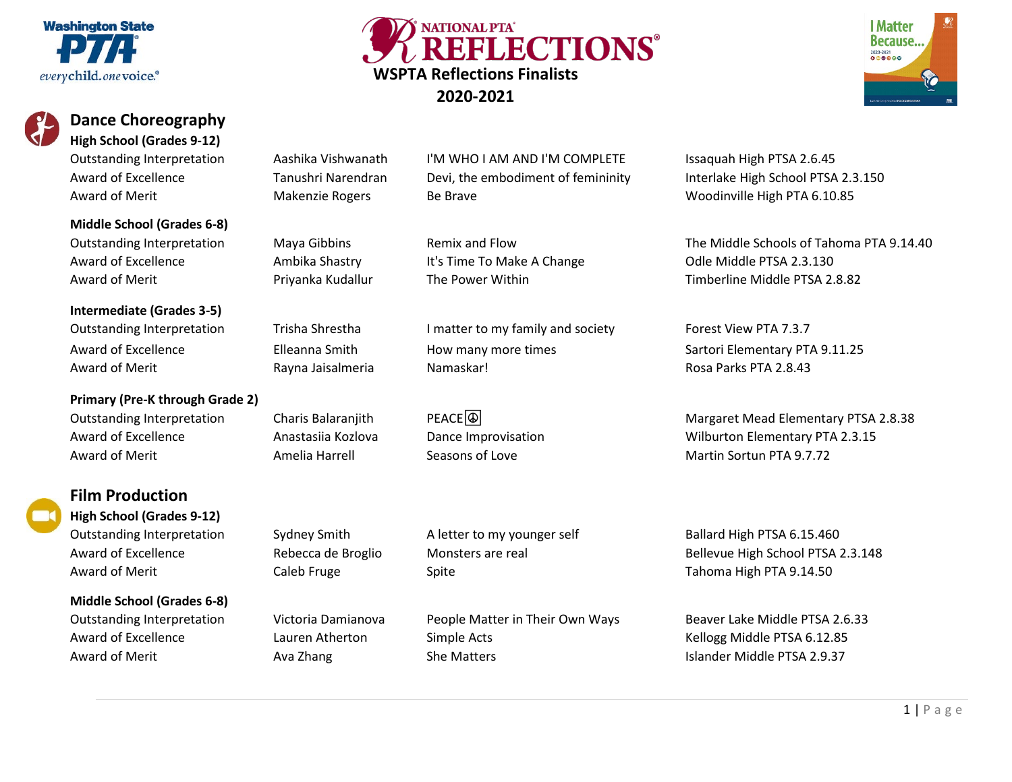# **Washington State** everychild.one voice.<sup>®</sup>



# **Dance Choreography High School (Grades 9-12)**

**Middle School (Grades 6-8)**

**Intermediate (Grades 3-5)**

**Primary (Pre-K through Grade 2)** Award of Merit **All Amelia Harrell** Amelia Seasons of Love **Martin Sortun PTA 9.7.72** 



# **Film Production High School (Grades 9-12)**

**Middle School (Grades 6-8)**

Outstanding Interpretation Aashika Vishwanath I'M WHO I AM AND I'M COMPLETE Issaquah High PTSA 2.6.45 Award of Excellence Tanushri Narendran Devi, the embodiment of femininity Interlake High School PTSA 2.3.150 Award of Merit **Makenzie Rogers** Be Brave Be Brave Woodinville High PTA 6.10.85

NATIONAL PTA' REFLECTIONS®

Award of Excellence **Ambika Shastry Collet Americ Americ Americ Analysis** Colle Middle PTSA 2.3.130

**WSPTA Reflections Finalists 2020-2021**

Outstanding Interpretation Trisha Shrestha I matter to my family and society Forest View PTA 7.3.7 Award of Excellence **Elleanna Smith** How many more times Sartori Elementary PTA 9.11.25 Award of Merit Rayna Jaisalmeria Namaskar! Rosa Parks PTA 2.8.43

Outstanding Interpretation Sydney Smith A letter to my younger self Ballard High PTSA 6.15.460 Award of Merit **August 2012** Caleb Fruge Caleb True Spite The Senator Caleb Tahoma High PTA 9.14.50

Outstanding Interpretation Victoria Damianova People Matter in Their Own Ways Beaver Lake Middle PTSA 2.6.33 Award of Excellence The Lauren Atherton Simple Acts Changes and Sellogg Middle PTSA 6.12.85 Award of Merit **Auxilia Ava Zhang** She Matters **Islander Middle PTSA 2.9.37** Award of Merit

Outstanding Interpretation Maya Gibbins Remix and Flow The Middle Schools of Tahoma PTA 9.14.40 Award of Merit **Example 2.8.82** Priyanka Kudallur The Power Within The Timberline Middle PTSA 2.8.82

Outstanding Interpretation Charis Balaranjith PEACE <br>
PEACE <br>
Quistanding Interpretation Charis Balaranjith PEACE <br>
PEACE <br>
Quistanding Interpretation Charis Balaranjith PEACE <br>
Quistanding Interpretation Charis Balaranjit Award of Excellence **Anastasiia Kozlova** Dance Improvisation **Network Construentary PTA 2.3.15** 

Award of Excellence **Rebecca de Broglio** Monsters are real Bellevue High School PTSA 2.3.148

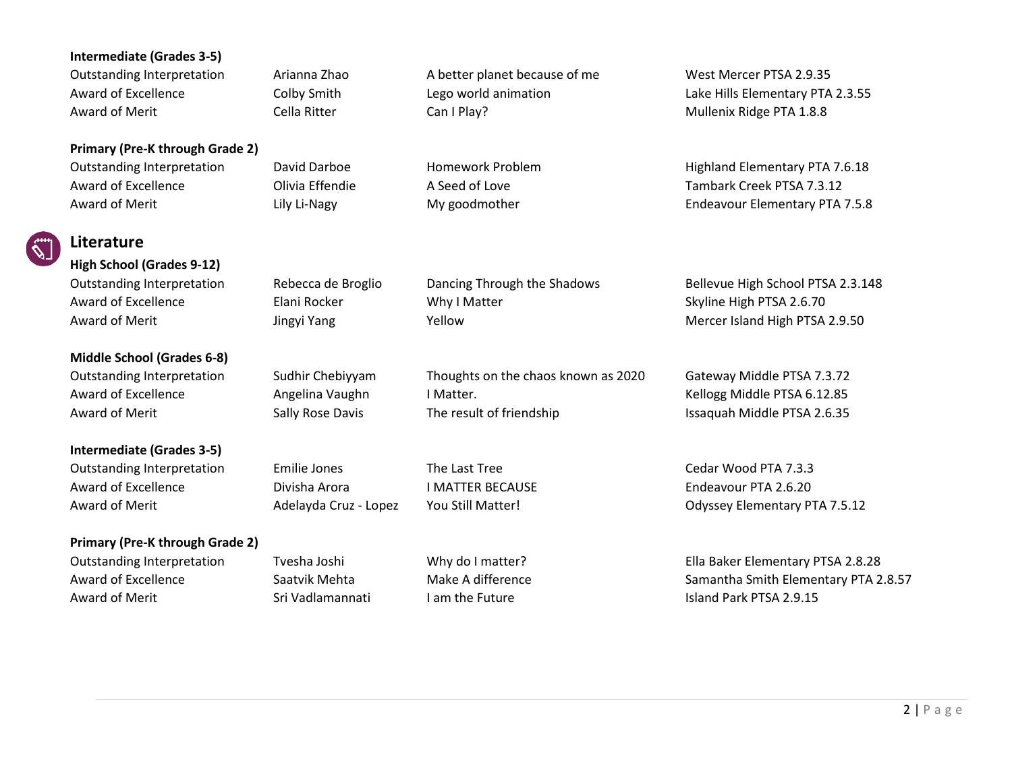# **Intermediate (Grades 3-5)**

Outstanding Interpretation Arianna Zhao A better planet because of me West Mercer PTSA 2.9.35 Award of Merit **Cella Ritter** Cella Ritter Can I Play? Can I Play? Mullenix Ridge PTA 1.8.8

**Primary (Pre-K through Grade 2)**

# **Literature**

**High School (Grades 9-12)**

**Middle School (Grades 6-8)**

**Intermediate (Grades 3-5)**

Award of Excellence **I** Divisha Arora **IMATTER BECAUSE** Endeavour PTA 2.6.20

### **Primary (Pre-K through Grade 2)**

Award of Merit **Sri Vadlamannati** I am the Future International School and Park PTSA 2.9.15

Award of Excellence Colby Smith Lego world animation Lake Hills Elementary PTA 2.3.55

Outstanding Interpretation David Darboe Homework Problem Highland Elementary PTA 7.6.18 Award of Excellence **A Seed of Love** A Seed of Love **A Seed of Love** Tambark Creek PTSA 7.3.12 Award of Merit **Lily Light Lily Li-Nagy** My goodmother **Endeavour Elementary PTA 7.5.8** 

Outstanding Interpretation Rebecca de Broglio Dancing Through the Shadows Bellevue High School PTSA 2.3.148

Outstanding Interpretation Emilie Jones The Last Tree Cedar Wood PTA 7.3.3 Award of Merit **Adelayda Cruz - Lopez** You Still Matter! Compared the Comparator PTA 7.5.12

Outstanding Interpretation Tvesha Joshi Why do I matter? The Southeast Ella Baker Elementary PTSA 2.8.28 Award of Excellence Saatvik Mehta Make A difference Samantha Smith Elementary PTA 2.8.57

Award of Excellence **Elani Rocker** Why I Matter Skyline High PTSA 2.6.70 Award of Merit Jingyi Yang Yellow Mercer Island High PTSA 2.9.50

Outstanding Interpretation Sudhir Chebiyyam Thoughts on the chaos known as 2020 Gateway Middle PTSA 7.3.72 Award of Excellence **Angelina Vaughn** I Matter. And the Mellogg Middle PTSA 6.12.85 Award of Merit Sally Rose Davis The result of friendship Issaquah Middle PTSA 2.6.35

2 | Page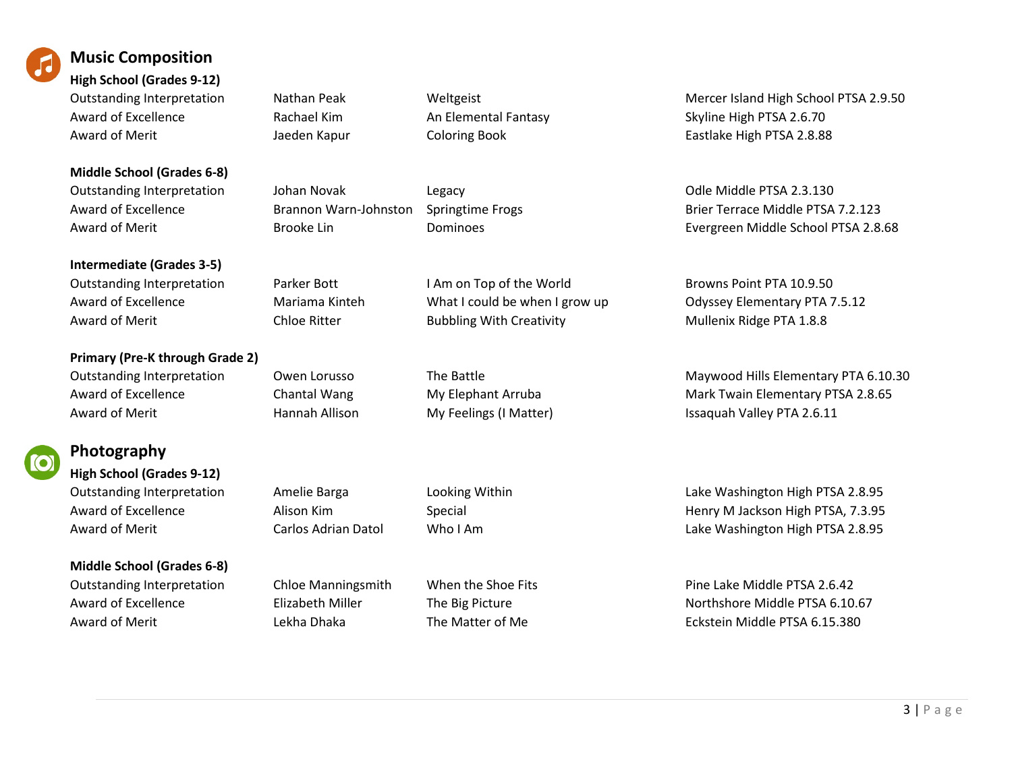

# **Music Composition**

**High School (Grades 9-12)** Award of Excellence **Rachael Kim** An Elemental Fantasy Skyline High PTSA 2.6.70 Award of Merit **August 2.8.88** Jaeden Kapur Coloring Book **Coloring High PTSA 2.8.88** Eastlake High PTSA 2.8.88

# **Middle School (Grades 6-8)** Outstanding Interpretation Johan Novak Legacy Odle Middle PTSA 2.3.130

**Intermediate (Grades 3-5)**

**Primary (Pre-K through Grade 2)**



# **Photography**

**High School (Grades 9-12)**

# **Middle School (Grades 6-8)**

Award of Merit **Chloe Ritter** Bubbling With Creativity **America** Mullenix Ridge PTA 1.8.8

Outstanding Interpretation Nathan Peak Weltgeist Mercer Island High School PTSA 2.9.50

Award of Excellence **Brannon Warn-Johnston** Springtime Frogs Brier Terrace Middle PTSA 7.2.123 Award of Merit **Evergreen Middle School PTSA 2.8.68 Evergreen Middle School PTSA 2.8.68** 

Outstanding Interpretation **Parker Bott** I Am on Top of the World Browns Point PTA 10.9.50 Award of Excellence Mariama Kinteh What I could be when I grow up Odyssey Elementary PTA 7.5.12

Outstanding Interpretation Owen Lorusso The Battle Maywood Hills Elementary PTA 6.10.30 Award of Excellence **Chantal Wang My Elephant Arruba** Mark Twain Elementary PTSA 2.8.65 Award of Merit **Hannah Allison** My Feelings (I Matter) **Issaquah Valley PTA 2.6.11** 

Outstanding Interpretation Amelie Barga Looking Within Cutstanding Lake Washington High PTSA 2.8.95 Award of Excellence **Alison Kim** Special Special Henry M Jackson High PTSA, 7.3.95 Award of Merit **Carlos Adrian Datol** Who I Am Charlos Museum Carlos Adrian Datol Who I Am Lake Washington High PTSA 2.8.95

Outstanding Interpretation Chloe Manningsmith When the Shoe Fits Pine Lake Middle PTSA 2.6.42 Award of Excellence **Elizabeth Miller** The Big Picture **Northshore Middle PTSA 6.10.67** Award of Merit **August 2018** Lekha Dhaka The Matter of Me **August 2018** Eckstein Middle PTSA 6.15.380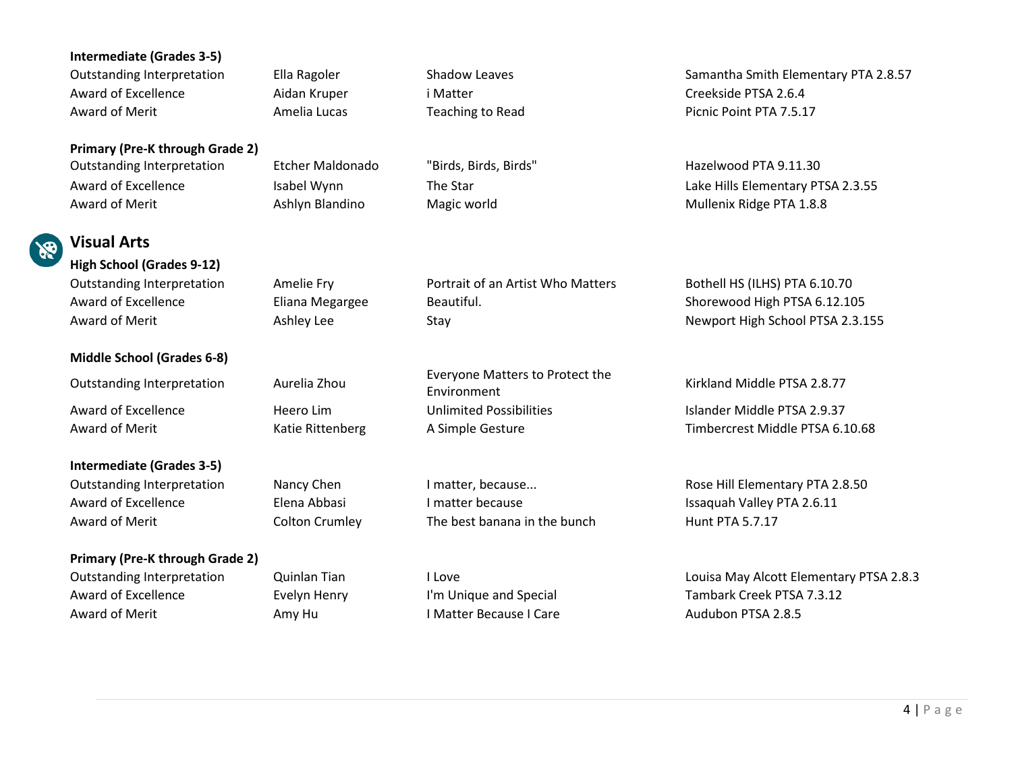### **Intermediate (Grades 3-5)**

Award of Excellence **Aidan Kruper** i Matter **in Creekside PTSA 2.6.4** Award of Merit **Amelia Lucas** Teaching to Read Picnic Point PTA 7.5.17

**Primary (Pre-K through Grade 2)** Outstanding Interpretation Etcher Maldonado "Birds, Birds, Birds" Hazelwood PTA 9.11.30

Award of Merit **Ashlyn Blandino** Magic world Mullenix Ridge PTA 1.8.8

**Visual Arts High School (Grades 9-12)**

# **Middle School (Grades 6-8)**

**Intermediate (Grades 3-5)**

# **Primary (Pre-K through Grade 2)**

Award of Merit **Amy Hu Amy Hu I Matter Because I Care** Audubon PTSA 2.8.5

Outstanding Interpretation Amelie Fry Portrait of an Artist Who Matters Bothell HS (ILHS) PTA 6.10.70 Award of Excellence **Eliana Megargee** Beautiful. Shorewood High PTSA 6.12.105

Outstanding Interpretation Aurelia Zhou Everyone Matters to Protect the Award of Excellence **Heero Lim** Heero Lim Unlimited Possibilities **In the Constantine PTSA 2.9.37** 

Award of Excellence **Elena Abbasi** I matter because I matter because I staguah Valley PTA 2.6.11 Award of Merit **Colton Crumley** The best banana in the bunch Hunt PTA 5.7.17

Outstanding Interpretation Ella Ragoler Shadow Leaves Shadow Leaves Samantha Smith Elementary PTA 2.8.57

Award of Excellence The Isabel Wynn The Star The Star Lake Hills Elementary PTSA 2.3.55

Award of Merit **Ashley Lee** Stay Stay Stay Newport High School PTSA 2.3.155

Kirkland Middle PTSA 2.8.77

Award of Merit **Auch Catienberg** A Simple Gesture **A Simple Gesture** Timbercrest Middle PTSA 6.10.68

Outstanding Interpretation Nancy Chen I matter, because... Rose Hill Elementary PTA 2.8.50

Outstanding Interpretation Cuinlan Tian I Love Cuincil Louisa May Alcott Elementary PTSA 2.8.3 Award of Excellence Evelyn Henry I'm Unique and Special Tambark Creek PTSA 7.3.12

4 | Page